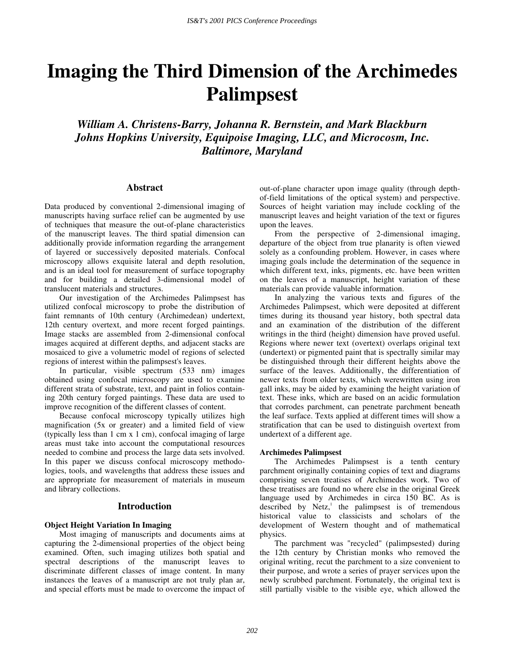# **Imaging the Third Dimension of the Archimedes Palimpsest**

*William A. Christens-Barry, Johanna R. Bernstein, and Mark Blackburn Johns Hopkins University, Equipoise Imaging, LLC, and Microcosm, Inc. Baltimore, Maryland* 

#### **Abstract**

Data produced by conventional 2-dimensional imaging of manuscripts having surface relief can be augmented by use of techniques that measure the out-of-plane characteristics of the manuscript leaves. The third spatial dimension can additionally provide information regarding the arrangement of layered or successively deposited materials. Confocal microscopy allows exquisite lateral and depth resolution, and is an ideal tool for measurement of surface topography and for building a detailed 3-dimensional model of translucent materials and structures.

Our investigation of the Archimedes Palimpsest has utilized confocal microscopy to probe the distribution of faint remnants of 10th century (Archimedean) undertext, 12th century overtext, and more recent forged paintings. Image stacks are assembled from 2-dimensional confocal images acquired at different depths, and adjacent stacks are mosaiced to give a volumetric model of regions of selected regions of interest within the palimpsest's leaves.

In particular, visible spectrum (533 nm) images obtained using confocal microscopy are used to examine different strata of substrate, text, and paint in folios containing 20th century forged paintings. These data are used to improve recognition of the different classes of content.

Because confocal microscopy typically utilizes high magnification (5x or greater) and a limited field of view (typically less than 1 cm x 1 cm), confocal imaging of large areas must take into account the computational resources needed to combine and process the large data sets involved. In this paper we discuss confocal microscopy methodologies, tools, and wavelengths that address these issues and are appropriate for measurement of materials in museum and library collections.

#### **Introduction**

### **Object Height Variation In Imaging**

Most imaging of manuscripts and documents aims at capturing the 2-dimensional properties of the object being examined. Often, such imaging utilizes both spatial and spectral descriptions of the manuscript leaves to discriminate different classes of image content. In many instances the leaves of a manuscript are not truly plan ar, and special efforts must be made to overcome the impact of out-of-plane character upon image quality (through depthof-field limitations of the optical system) and perspective. Sources of height variation may include cockling of the manuscript leaves and height variation of the text or figures upon the leaves.

From the perspective of 2-dimensional imaging, departure of the object from true planarity is often viewed solely as a confounding problem. However, in cases where imaging goals include the determination of the sequence in which different text, inks, pigments, etc. have been written on the leaves of a manuscript, height variation of these materials can provide valuable information.

In analyzing the various texts and figures of the Archimedes Palimpsest, which were deposited at different times during its thousand year history, both spectral data and an examination of the distribution of the different writings in the third (height) dimension have proved useful. Regions where newer text (overtext) overlaps original text (undertext) or pigmented paint that is spectrally similar may be distinguished through their different heights above the surface of the leaves. Additionally, the differentiation of newer texts from older texts, which werewritten using iron gall inks, may be aided by examining the height variation of text. These inks, which are based on an acidic formulation that corrodes parchment, can penetrate parchment beneath the leaf surface. Texts applied at different times will show a stratification that can be used to distinguish overtext from undertext of a different age.

#### **Archimedes Palimpsest**

The Archimedes Palimpsest is a tenth century parchment originally containing copies of text and diagrams comprising seven treatises of Archimedes work. Two of these treatises are found no where else in the original Greek language used by Archimedes in circa 150 BC. As is described by  $Netz$ , the palimpsest is of tremendous historical value to classicists and scholars of the development of Western thought and of mathematical physics.

The parchment was "recycled" (palimpsested) during the 12th century by Christian monks who removed the original writing, recut the parchment to a size convenient to their purpose, and wrote a series of prayer services upon the newly scrubbed parchment. Fortunately, the original text is still partially visible to the visible eye, which allowed the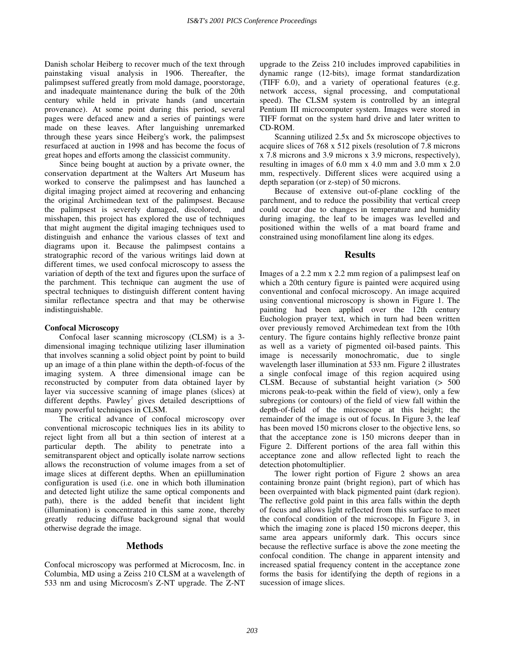Danish scholar Heiberg to recover much of the text through painstaking visual analysis in 1906. Thereafter, the palimpsest suffered greatly from mold damage, poorstorage, and inadequate maintenance during the bulk of the 20th century while held in private hands (and uncertain provenance). At some point during this period, several pages were defaced anew and a series of paintings were made on these leaves. After languishing unremarked through these years since Heiberg's work, the palimpsest resurfaced at auction in 1998 and has become the focus of great hopes and efforts among the classicist community.

Since being bought at auction by a private owner, the conservation department at the Walters Art Museum has worked to conserve the palimpsest and has launched a digital imaging project aimed at recovering and enhancing the original Archimedean text of the palimpsest. Because the palimpsest is severely damaged, discolored, and misshapen, this project has explored the use of techniques that might augment the digital imaging techniques used to distinguish and enhance the various classes of text and diagrams upon it. Because the palimpsest contains a stratographic record of the various writings laid down at different times, we used confocal microscopy to assess the variation of depth of the text and figures upon the surface of the parchment. This technique can augment the use of spectral techniques to distinguish different content having similar reflectance spectra and that may be otherwise indistinguishable.

#### **Confocal Microscopy**

Confocal laser scanning microscopy (CLSM) is a 3 dimensional imaging technique utilizing laser illumination that involves scanning a solid object point by point to build up an image of a thin plane within the depth-of-focus of the imaging system. A three dimensional image can be reconstructed by computer from data obtained layer by layer via successive scanning of image planes (slices) at different depths. Pawley<sup>2</sup> gives detailed descripttions of many powerful techniques in CLSM.

The critical advance of confocal microscopy over conventional microscopic techniques lies in its ability to reject light from all but a thin section of interest at a particular depth. The ability to penetrate into a semitransparent object and optically isolate narrow sections allows the reconstruction of volume images from a set of image slices at different depths. When an epiillumination configuration is used (i.e. one in which both illumination and detected light utilize the same optical components and path), there is the added benefit that incident light (illumination) is concentrated in this same zone, thereby greatly reducing diffuse background signal that would otherwise degrade the image.

#### **Methods**

Confocal microscopy was performed at Microcosm, Inc. in Columbia, MD using a Zeiss 210 CLSM at a wavelength of 533 nm and using Microcosm's Z-NT upgrade. The Z-NT upgrade to the Zeiss 210 includes improved capabilities in dynamic range (12-bits), image format standardization (TIFF 6.0), and a variety of operational features (e.g. network access, signal processing, and computational speed). The CLSM system is controlled by an integral Pentium III microcomputer system. Images were stored in TIFF format on the system hard drive and later written to CD-ROM.

Scanning utilized 2.5x and 5x microscope objectives to acquire slices of 768 x 512 pixels (resolution of 7.8 microns x 7.8 microns and 3.9 microns x 3.9 microns, respectively), resulting in images of 6.0 mm x 4.0 mm and 3.0 mm x 2.0 mm, respectively. Different slices were acquired using a depth separation (or z-step) of 50 microns.

Because of extensive out-of-plane cockling of the parchment, and to reduce the possibility that vertical creep could occur due to changes in temperature and humidity during imaging, the leaf to be images was levelled and positioned within the wells of a mat board frame and constrained using monofilament line along its edges.

#### **Results**

Images of a 2.2 mm x 2.2 mm region of a palimpsest leaf on which a 20th century figure is painted were acquired using conventional and confocal microscopy. An image acquired using conventional microscopy is shown in Figure 1. The painting had been applied over the 12th century Euchologion prayer text, which in turn had been written over previously removed Archimedean text from the 10th century. The figure contains highly reflective bronze paint as well as a variety of pigmented oil-based paints. This image is necessarily monochromatic, due to single wavelength laser illumination at 533 nm. Figure 2 illustrates a single confocal image of this region acquired using CLSM. Because of substantial height variation (> 500 microns peak-to-peak within the field of view), only a few subregions (or contours) of the field of view fall within the depth-of-field of the microscope at this height; the remainder of the image is out of focus. In Figure 3, the leaf has been moved 150 microns closer to the objective lens, so that the acceptance zone is 150 microns deeper than in Figure 2. Different portions of the area fall within this acceptance zone and allow reflected light to reach the detection photomultiplier.

The lower right portion of Figure 2 shows an area containing bronze paint (bright region), part of which has been overpainted with black pigmented paint (dark region). The reflective gold paint in this area falls within the depth of focus and allows light reflected from this surface to meet the confocal condition of the microscope. In Figure 3, in which the imaging zone is placed 150 microns deeper, this same area appears uniformly dark. This occurs since because the reflective surface is above the zone meeting the confocal condition. The change in apparent intensity and increased spatial frequency content in the acceptance zone forms the basis for identifying the depth of regions in a sucession of image slices.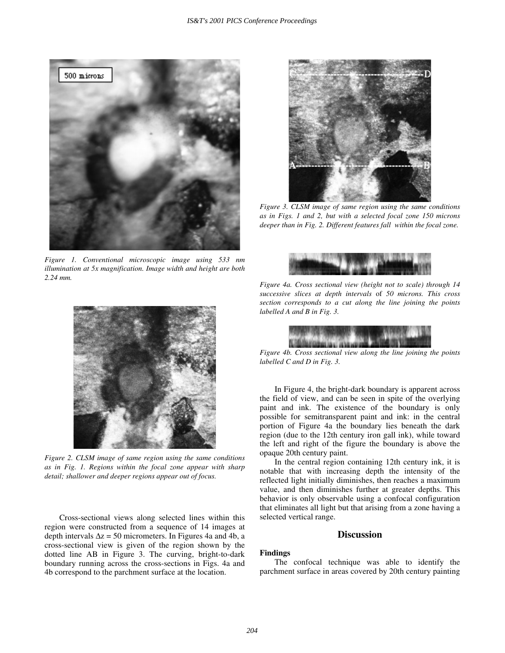

*Figure 1. Conventional microscopic image using 533 nm illumination at 5x magnification. Image width and height are both 2.24 mm.* 



*Figure 2. CLSM image of same region using the same conditions as in Fig. 1. Regions within the focal zone appear with sharp detail; shallower and deeper regions appear out of focus.* 

Cross-sectional views along selected lines within this region were constructed from a sequence of 14 images at depth intervals  $\Delta z = 50$  micrometers. In Figures 4a and 4b, a cross-sectional view is given of the region shown by the dotted line AB in Figure 3. The curving, bright-to-dark boundary running across the cross-sections in Figs. 4a and 4b correspond to the parchment surface at the location.



*Figure 3. CLSM image of same region using the same conditions as in Figs. 1 and 2, but with a selected focal zone 150 microns deeper than in Fig. 2. Different features fall within the focal zone.*



*Figure 4a. Cross sectional view (height not to scale) through 14 successive slices at depth intervals* of *50 microns. This cross section corresponds to a cut along the line joining the points labelled A and B in Fig. 3.*



*Figure 4b. Cross sectional view along the line joining the points labelled C and D in Fig. 3.*

In Figure 4, the bright-dark boundary is apparent across the field of view, and can be seen in spite of the overlying paint and ink. The existence of the boundary is only possible for semitransparent paint and ink: in the central portion of Figure 4a the boundary lies beneath the dark region (due to the 12th century iron gall ink), while toward the left and right of the figure the boundary is above the opaque 20th century paint.

In the central region containing 12th century ink, it is notable that with increasing depth the intensity of the reflected light initially diminishes, then reaches a maximum value, and then diminishes further at greater depths. This behavior is only observable using a confocal configuration that eliminates all light but that arising from a zone having a selected vertical range.

#### **Discussion**

#### **Findings**

The confocal technique was able to identify the parchment surface in areas covered by 20th century painting